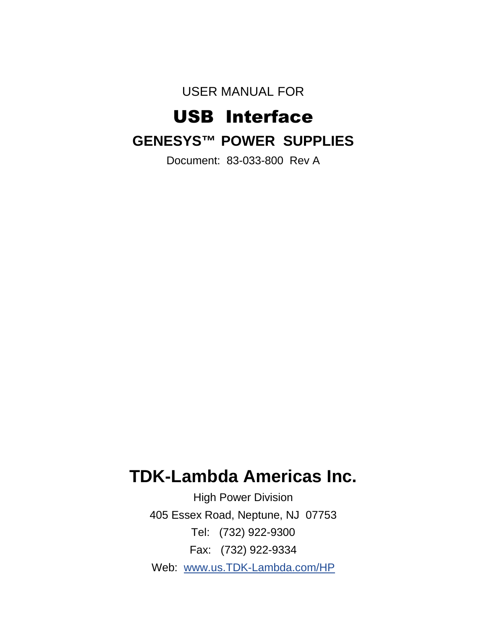USER MANUAL FOR

# USB Interface **GENESYS™ POWER SUPPLIES**

Document: 83-033-800 Rev A

## **TDK-Lambda Americas Inc.**

High Power Division 405 Essex Road, Neptune, NJ 07753 Tel: (732) 922-9300 Fax: (732) 922-9334 Web: www.us.TDK-Lambda.com/HP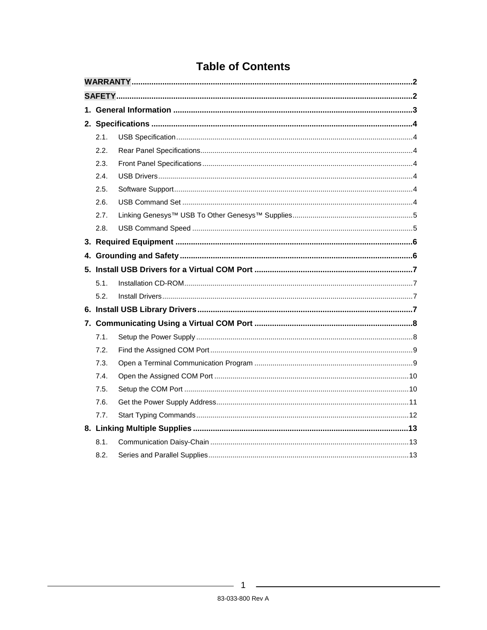|  | 2.1. |  |  |  |  |  |  |  |
|--|------|--|--|--|--|--|--|--|
|  | 2.2. |  |  |  |  |  |  |  |
|  | 2.3. |  |  |  |  |  |  |  |
|  | 2.4. |  |  |  |  |  |  |  |
|  | 2.5. |  |  |  |  |  |  |  |
|  | 2.6. |  |  |  |  |  |  |  |
|  | 2.7. |  |  |  |  |  |  |  |
|  | 2.8. |  |  |  |  |  |  |  |
|  |      |  |  |  |  |  |  |  |
|  |      |  |  |  |  |  |  |  |
|  |      |  |  |  |  |  |  |  |
|  | 5.1. |  |  |  |  |  |  |  |
|  | 5.2. |  |  |  |  |  |  |  |
|  |      |  |  |  |  |  |  |  |
|  |      |  |  |  |  |  |  |  |
|  | 7.1. |  |  |  |  |  |  |  |
|  | 7.2. |  |  |  |  |  |  |  |
|  | 7.3. |  |  |  |  |  |  |  |
|  | 7.4. |  |  |  |  |  |  |  |
|  | 7.5. |  |  |  |  |  |  |  |
|  | 7.6. |  |  |  |  |  |  |  |
|  | 7.7. |  |  |  |  |  |  |  |
|  |      |  |  |  |  |  |  |  |
|  | 8.1. |  |  |  |  |  |  |  |
|  | 8.2. |  |  |  |  |  |  |  |

### **Table of Contents**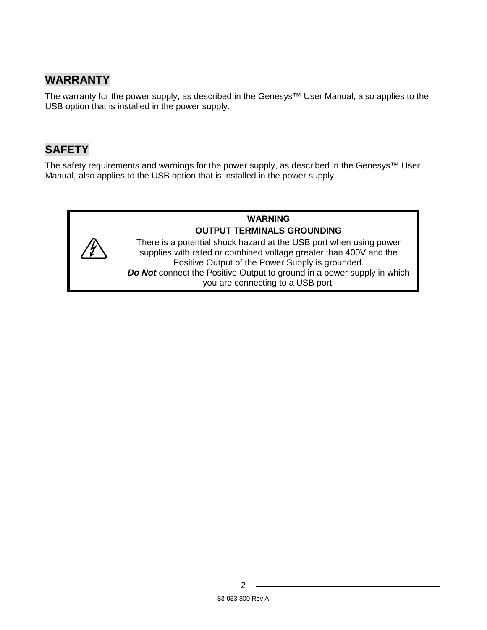### **WARRANTY**

The warranty for the power supply, as described in the Genesys™ User Manual, also applies to the USB option that is installed in the power supply.

### **SAFETY**

The safety requirements and warnings for the power supply, as described in the Genesys™ User Manual, also applies to the USB option that is installed in the power supply.

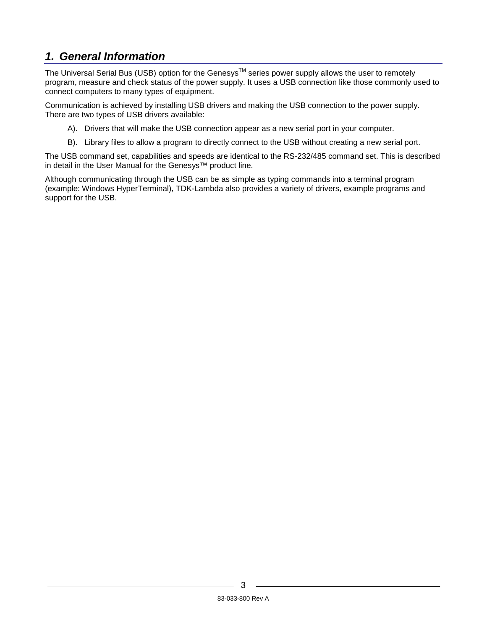### **1. General Information**

The Universal Serial Bus (USB) option for the Genesys<sup>TM</sup> series power supply allows the user to remotely program, measure and check status of the power supply. It uses a USB connection like those commonly used to connect computers to many types of equipment.

Communication is achieved by installing USB drivers and making the USB connection to the power supply. There are two types of USB drivers available:

- A). Drivers that will make the USB connection appear as a new serial port in your computer.
- B). Library files to allow a program to directly connect to the USB without creating a new serial port.

The USB command set, capabilities and speeds are identical to the RS-232/485 command set. This is described in detail in the User Manual for the Genesys™ product line.

Although communicating through the USB can be as simple as typing commands into a terminal program (example: Windows HyperTerminal), TDK-Lambda also provides a variety of drivers, example programs and support for the USB.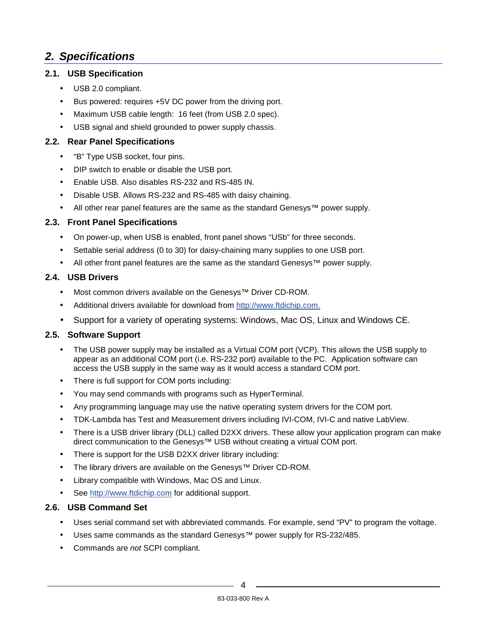### **2. Specifications**

### **2.1. USB Specification**

- USB 2.0 compliant.
- Bus powered: requires +5V DC power from the driving port.
- Maximum USB cable length: 16 feet (from USB 2.0 spec).
- USB signal and shield grounded to power supply chassis.

### **2.2. Rear Panel Specifications**

- "B" Type USB socket, four pins.
- DIP switch to enable or disable the USB port.
- Enable USB. Also disables RS-232 and RS-485 IN.
- Disable USB. Allows RS-232 and RS-485 with daisy chaining.
- All other rear panel features are the same as the standard Genesys™ power supply.

### **2.3. Front Panel Specifications**

- On power-up, when USB is enabled, front panel shows "USb" for three seconds.
- Settable serial address (0 to 30) for daisy-chaining many supplies to one USB port.
- All other front panel features are the same as the standard Genesys™ power supply.

### **2.4. USB Drivers**

- Most common drivers available on the Genesys™ Driver CD-ROM.
- Additional drivers available for download from http://www.ftdichip.com.
- Support for a variety of operating systems: Windows, Mac OS, Linux and Windows CE.

### **2.5. Software Support**

- The USB power supply may be installed as a Virtual COM port (VCP). This allows the USB supply to appear as an additional COM port (i.e. RS-232 port) available to the PC. Application software can access the USB supply in the same way as it would access a standard COM port.
- There is full support for COM ports including:
- You may send commands with programs such as HyperTerminal.
- Any programming language may use the native operating system drivers for the COM port.
- TDK-Lambda has Test and Measurement drivers including IVI-COM, IVI-C and native LabView.
- There is a USB driver library (DLL) called D2XX drivers. These allow your application program can make direct communication to the Genesys™ USB without creating a virtual COM port.
- There is support for the USB D2XX driver library including:
- The library drivers are available on the Genesys™ Driver CD-ROM.
- Library compatible with Windows, Mac OS and Linux.
- See http://www.ftdichip.com for additional support.

### **2.6. USB Command Set**

- Uses serial command set with abbreviated commands. For example, send "PV" to program the voltage.
- Uses same commands as the standard Genesys™ power supply for RS-232/485.
- Commands are not SCPI compliant.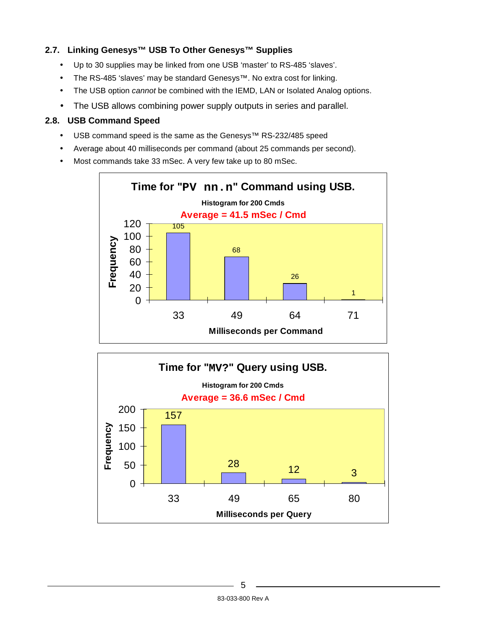### **2.7. Linking Genesys™ USB To Other Genesys™ Supplies**

- Up to 30 supplies may be linked from one USB 'master' to RS-485 'slaves'.
- The RS-485 'slaves' may be standard Genesys™. No extra cost for linking.
- The USB option *cannot* be combined with the IEMD, LAN or Isolated Analog options.
- The USB allows combining power supply outputs in series and parallel.

#### **2.8. USB Command Speed**

- USB command speed is the same as the Genesys™ RS-232/485 speed
- Average about 40 milliseconds per command (about 25 commands per second).
- Most commands take 33 mSec. A very few take up to 80 mSec.



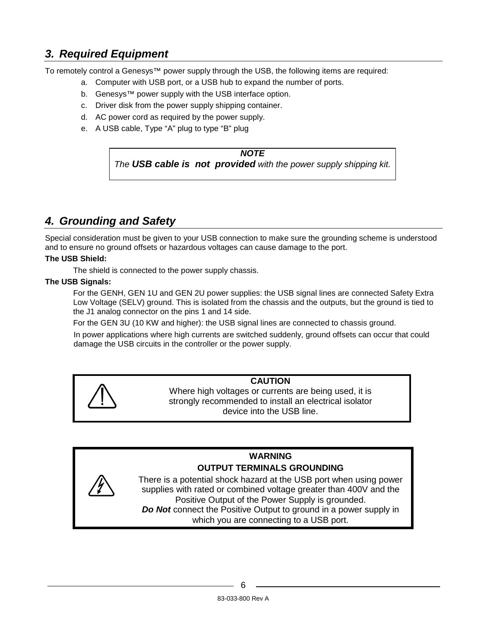### **3. Required Equipment**

To remotely control a Genesys™ power supply through the USB, the following items are required:

- a. Computer with USB port, or a USB hub to expand the number of ports.
- b. Genesys™ power supply with the USB interface option.
- c. Driver disk from the power supply shipping container.
- d. AC power cord as required by the power supply.
- e. A USB cable, Type "A" plug to type "B" plug

#### **NOTE**

The **USB cable is not provided** with the power supply shipping kit.

### **4. Grounding and Safety**

Special consideration must be given to your USB connection to make sure the grounding scheme is understood and to ensure no ground offsets or hazardous voltages can cause damage to the port.

#### **The USB Shield:**

The shield is connected to the power supply chassis.

#### **The USB Signals:**

For the GENH, GEN 1U and GEN 2U power supplies: the USB signal lines are connected Safety Extra Low Voltage (SELV) ground. This is isolated from the chassis and the outputs, but the ground is tied to the J1 analog connector on the pins 1 and 14 side.

For the GEN 3U (10 KW and higher): the USB signal lines are connected to chassis ground.

In power applications where high currents are switched suddenly, ground offsets can occur that could damage the USB circuits in the controller or the power supply.



### **CAUTION**

Where high voltages or currents are being used, it is strongly recommended to install an electrical isolator device into the USB line.

### **WARNING OUTPUT TERMINALS GROUNDING**

There is a potential shock hazard at the USB port when using power supplies with rated or combined voltage greater than 400V and the Positive Output of the Power Supply is grounded. **Do Not** connect the Positive Output to ground in a power supply in which you are connecting to a USB port.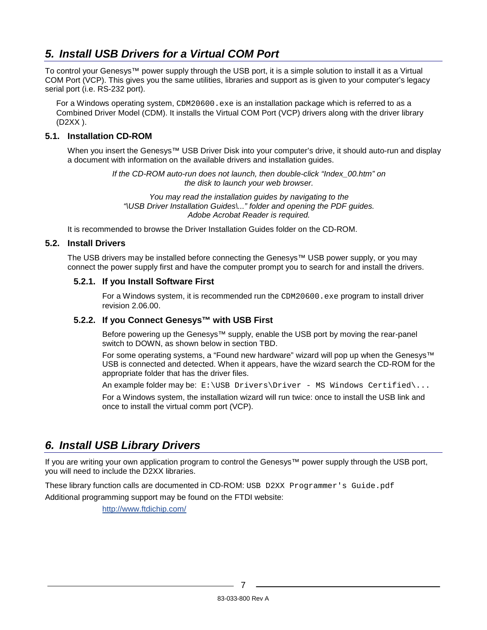### **5. Install USB Drivers for a Virtual COM Port**

To control your Genesys™ power supply through the USB port, it is a simple solution to install it as a Virtual COM Port (VCP). This gives you the same utilities, libraries and support as is given to your computer's legacy serial port (i.e. RS-232 port).

For a Windows operating system, CDM20600.exe is an installation package which is referred to as a Combined Driver Model (CDM). It installs the Virtual COM Port (VCP) drivers along with the driver library (D2XX ).

### **5.1. Installation CD-ROM**

When you insert the Genesys™ USB Driver Disk into your computer's drive, it should auto-run and display a document with information on the available drivers and installation guides.

> If the CD-ROM auto-run does not launch, then double-click "Index\_00.htm" on the disk to launch your web browser.

You may read the installation guides by navigating to the "\USB Driver Installation Guides\..." folder and opening the PDF guides. Adobe Acrobat Reader is required.

It is recommended to browse the Driver Installation Guides folder on the CD-ROM.

#### **5.2. Install Drivers**

The USB drivers may be installed before connecting the Genesys™ USB power supply, or you may connect the power supply first and have the computer prompt you to search for and install the drivers.

#### **5.2.1. If you Install Software First**

For a Windows system, it is recommended run the  $CDM20600$ . exe program to install driver revision 2.06.00.

#### **5.2.2. If you Connect Genesys™ with USB First**

Before powering up the Genesys™ supply, enable the USB port by moving the rear-panel switch to DOWN, as shown below in section TBD.

For some operating systems, a "Found new hardware" wizard will pop up when the Genesys™ USB is connected and detected. When it appears, have the wizard search the CD-ROM for the appropriate folder that has the driver files.

An example folder may be:  $E:\USB$  Drivers\Driver - MS Windows Certified\...

For a Windows system, the installation wizard will run twice: once to install the USB link and once to install the virtual comm port (VCP).

### **6. Install USB Library Drivers**

If you are writing your own application program to control the Genesys™ power supply through the USB port, you will need to include the D2XX libraries.

These library function calls are documented in CD-ROM: USB D2XX Programmer's Guide.pdf

Additional programming support may be found on the FTDI website:

http://www.ftdichip.com/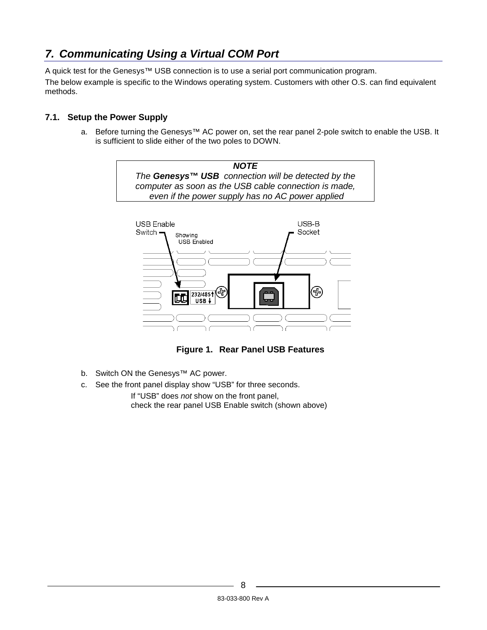### **7. Communicating Using a Virtual COM Port**

A quick test for the Genesys™ USB connection is to use a serial port communication program.

The below example is specific to the Windows operating system. Customers with other O.S. can find equivalent methods.

### **7.1. Setup the Power Supply**

a. Before turning the Genesys™ AC power on, set the rear panel 2-pole switch to enable the USB. It is sufficient to slide either of the two poles to DOWN.



**Figure 1. Rear Panel USB Features** 

- b. Switch ON the Genesys™ AC power.
- c. See the front panel display show "USB" for three seconds.

If "USB" does not show on the front panel, check the rear panel USB Enable switch (shown above)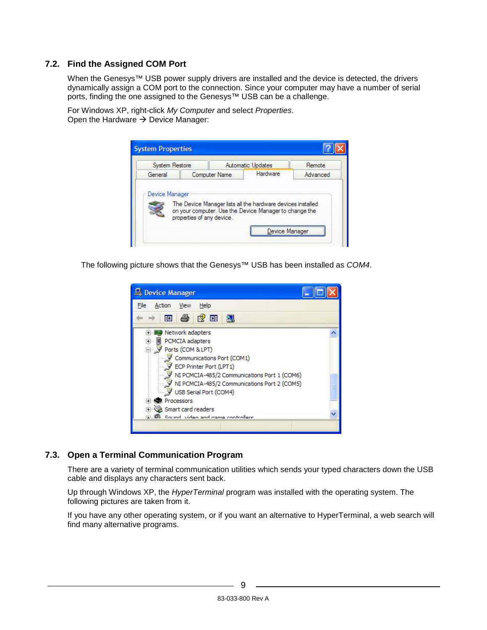### **7.2. Find the Assigned COM Port**

When the Genesys<sup>™</sup> USB power supply drivers are installed and the device is detected, the drivers dynamically assign a COM port to the connection. Since your computer may have a number of serial ports, finding the one assigned to the Genesys™ USB can be a challenge.

For Windows XP, right-click My Computer and select Properties. Open the Hardware  $\rightarrow$  Device Manager:



The following picture shows that the Genesys<sup>™</sup> USB has been installed as COM4.



### **7.3. Open a Terminal Communication Program**

There are a variety of terminal communication utilities which sends your typed characters down the USB cable and displays any characters sent back.

Up through Windows XP, the *HyperTerminal* program was installed with the operating system. The following pictures are taken from it.

If you have any other operating system, or if you want an alternative to HyperTerminal, a web search will find many alternative programs.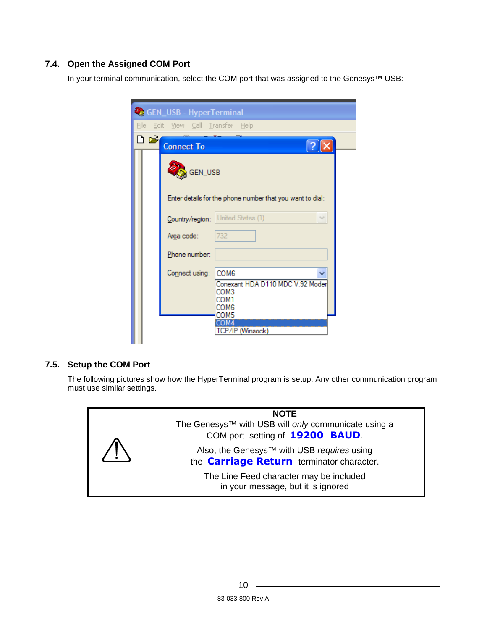### **7.4. Open the Assigned COM Port**

In your terminal communication, select the COM port that was assigned to the Genesys™ USB:

|     | <b>C</b> GEN_USB - HyperTerminal                                                                       |  |
|-----|--------------------------------------------------------------------------------------------------------|--|
|     | File Edit View Call Transfer Help                                                                      |  |
| ہ ت | <b>Connect To</b>                                                                                      |  |
|     | GEN_USB                                                                                                |  |
|     | Enter details for the phone number that you want to dial:                                              |  |
|     | United States (1)<br>Country/region:                                                                   |  |
|     | 732<br>Area code:                                                                                      |  |
|     | Phone number:                                                                                          |  |
|     | Connect using:<br>COM <sub>6</sub><br>Conexant HDA D110 MDC V.92 Moder<br>COM3<br>COM1<br>COM6<br>COM5 |  |
|     | COM4<br>CP/IP (Winsock)                                                                                |  |

### **7.5. Setup the COM Port**

The following pictures show how the HyperTerminal program is setup. Any other communication program must use similar settings.

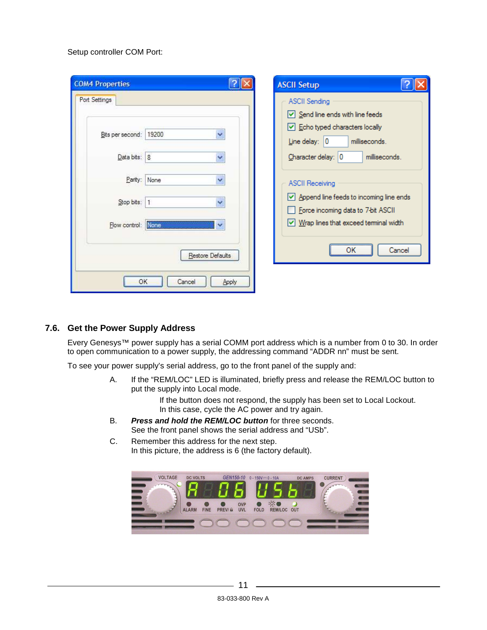#### Setup controller COM Port:

| <b>ASCII Setup</b>                                                                                                                                                                                                                                                                                                                                                            |
|-------------------------------------------------------------------------------------------------------------------------------------------------------------------------------------------------------------------------------------------------------------------------------------------------------------------------------------------------------------------------------|
| <b>ASCII Sending</b><br>$\triangledown$ Send line ends with line feeds<br>$\vee$ Echo typed characters locally<br>Line delay: $ 0 $<br>milliseconds.<br>Character delay: 0<br>milliseconds.<br><b>ASCII Receiving</b><br>$\vee$ Append line feeds to incoming line ends<br>Force incoming data to 7-bit ASCII<br>$\vee$ Wrap lines that exceed terminal width<br>ок<br>Cancel |
|                                                                                                                                                                                                                                                                                                                                                                               |

#### **7.6. Get the Power Supply Address**

Every Genesys™ power supply has a serial COMM port address which is a number from 0 to 30. In order to open communication to a power supply, the addressing command "ADDR nn" must be sent.

To see your power supply's serial address, go to the front panel of the supply and:

A. If the "REM/LOC" LED is illuminated, briefly press and release the REM/LOC button to put the supply into Local mode.

> If the button does not respond, the supply has been set to Local Lockout. In this case, cycle the AC power and try again.

- B. **Press and hold the REM/LOC button** for three seconds. See the front panel shows the serial address and "USb".
- C. Remember this address for the next step. In this picture, the address is 6 (the factory default).

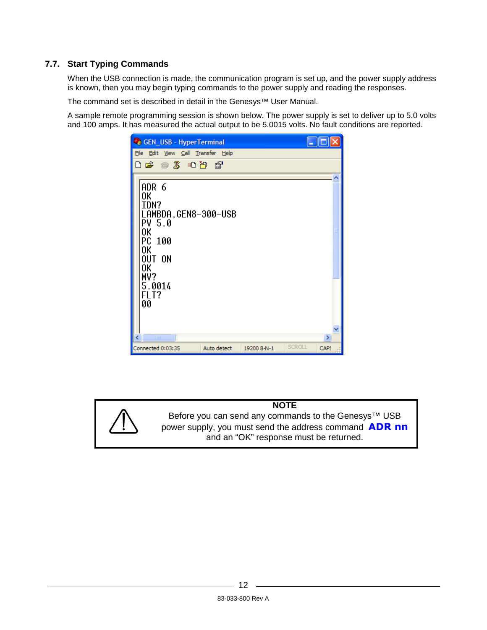### **7.7. Start Typing Commands**

When the USB connection is made, the communication program is set up, and the power supply address is known, then you may begin typing commands to the power supply and reading the responses.

The command set is described in detail in the Genesys™ User Manual.

A sample remote programming session is shown below. The power supply is set to deliver up to 5.0 volts and 100 amps. It has measured the actual output to be 5.0015 volts. No fault conditions are reported.

| <b>GEN_USB - HyperTerminal</b>                                                            |             |             |               |      |  |  |  |  |  |
|-------------------------------------------------------------------------------------------|-------------|-------------|---------------|------|--|--|--|--|--|
| File Edit View Call Transfer Help                                                         |             |             |               |      |  |  |  |  |  |
| <b>De #3 Db #</b>                                                                         |             |             |               |      |  |  |  |  |  |
| ADR 6                                                                                     |             |             |               |      |  |  |  |  |  |
| 0K<br>IDN?<br>LAMBDA, GEN8-300-USB<br>PV 5.0<br>0K<br>PC 100<br>0K<br>OUT ON<br>0K<br>MV? |             |             |               |      |  |  |  |  |  |
| 5.0014<br>FLT?<br>00<br>Ш                                                                 |             |             |               | ≯    |  |  |  |  |  |
| Connected 0:03:35                                                                         | Auto detect | 19200 8-N-1 | <b>SCROLL</b> | CAPS |  |  |  |  |  |

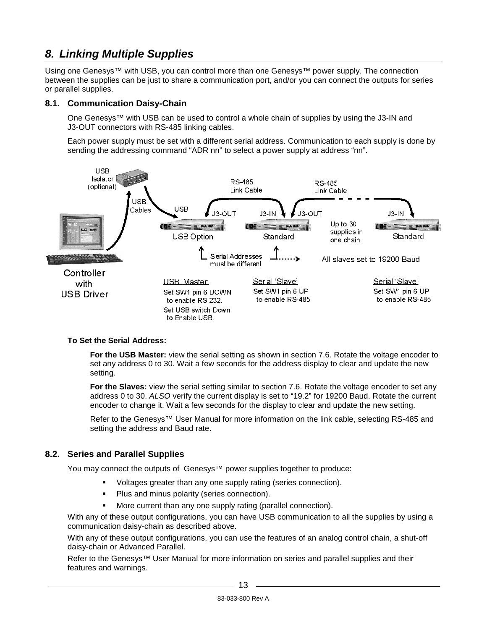### **8. Linking Multiple Supplies**

Using one Genesys™ with USB, you can control more than one Genesys™ power supply. The connection between the supplies can be just to share a communication port, and/or you can connect the outputs for series or parallel supplies.

#### **8.1. Communication Daisy-Chain**

One Genesys™ with USB can be used to control a whole chain of supplies by using the J3-IN and J3-OUT connectors with RS-485 linking cables.

Each power supply must be set with a different serial address. Communication to each supply is done by sending the addressing command "ADR nn" to select a power supply at address "nn".



#### **To Set the Serial Address:**

**For the USB Master:** view the serial setting as shown in section 7.6. Rotate the voltage encoder to set any address 0 to 30. Wait a few seconds for the address display to clear and update the new setting.

**For the Slaves:** view the serial setting similar to section 7.6. Rotate the voltage encoder to set any address 0 to 30. ALSO verify the current display is set to "19.2" for 19200 Baud. Rotate the current encoder to change it. Wait a few seconds for the display to clear and update the new setting.

Refer to the Genesys™ User Manual for more information on the link cable, selecting RS-485 and setting the address and Baud rate.

### **8.2. Series and Parallel Supplies**

You may connect the outputs of Genesys<sup>™</sup> power supplies together to produce:

- -Voltages greater than any one supply rating (series connection).
- -Plus and minus polarity (series connection).
- -More current than any one supply rating (parallel connection).

With any of these output configurations, you can have USB communication to all the supplies by using a communication daisy-chain as described above.

With any of these output configurations, you can use the features of an analog control chain, a shut-off daisy-chain or Advanced Parallel.

Refer to the Genesys™ User Manual for more information on series and parallel supplies and their features and warnings.